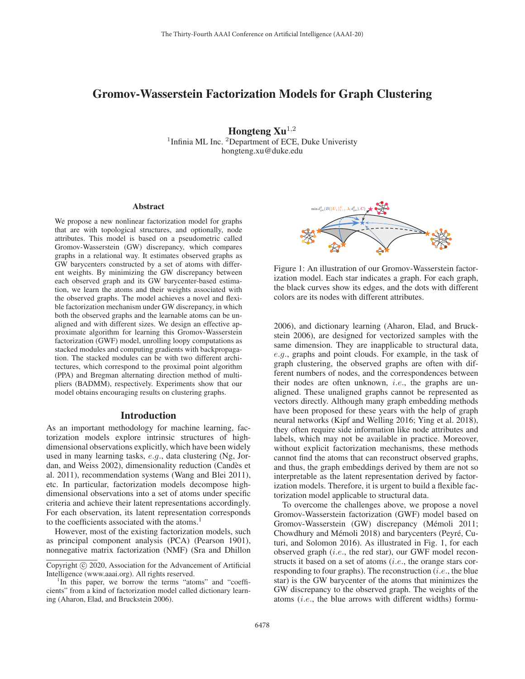# Gromov-Wasserstein Factorization Models for Graph Clustering

Hongteng  $Xu^{1,2}$ <sup>1</sup>Infinia ML Inc. <sup>2</sup>Department of ECE, Duke Univeristy hongteng.xu@duke.edu

#### Abstract

We propose a new nonlinear factorization model for graphs that are with topological structures, and optionally, node attributes. This model is based on a pseudometric called Gromov-Wasserstein (GW) discrepancy, which compares graphs in a relational way. It estimates observed graphs as GW barycenters constructed by a set of atoms with different weights. By minimizing the GW discrepancy between each observed graph and its GW barycenter-based estimation, we learn the atoms and their weights associated with the observed graphs. The model achieves a novel and flexible factorization mechanism under GW discrepancy, in which both the observed graphs and the learnable atoms can be unaligned and with different sizes. We design an effective approximate algorithm for learning this Gromov-Wasserstein factorization (GWF) model, unrolling loopy computations as stacked modules and computing gradients with backpropagation. The stacked modules can be with two different architectures, which correspond to the proximal point algorithm (PPA) and Bregman alternating direction method of multipliers (BADMM), respectively. Experiments show that our model obtains encouraging results on clustering graphs.

#### Introduction

As an important methodology for machine learning, factorization models explore intrinsic structures of highdimensional observations explicitly, which have been widely used in many learning tasks, e.g., data clustering (Ng, Jordan, and Weiss 2002), dimensionality reduction (Candès et al. 2011), recommendation systems (Wang and Blei 2011), etc. In particular, factorization models decompose highdimensional observations into a set of atoms under specific criteria and achieve their latent representations accordingly. For each observation, its latent representation corresponds to the coefficients associated with the atoms.<sup>1</sup>

However, most of the existing factorization models, such as principal component analysis (PCA) (Pearson 1901), nonnegative matrix factorization (NMF) (Sra and Dhillon



Figure 1: An illustration of our Gromov-Wasserstein factorization model. Each star indicates a graph. For each graph, the black curves show its edges, and the dots with different colors are its nodes with different attributes.

2006), and dictionary learning (Aharon, Elad, and Bruckstein 2006), are designed for vectorized samples with the same dimension. They are inapplicable to structural data, e.g., graphs and point clouds. For example, in the task of graph clustering, the observed graphs are often with different numbers of nodes, and the correspondences between their nodes are often unknown, *i.e.*, the graphs are unaligned. These unaligned graphs cannot be represented as vectors directly. Although many graph embedding methods have been proposed for these years with the help of graph neural networks (Kipf and Welling 2016; Ying et al. 2018), they often require side information like node attributes and labels, which may not be available in practice. Moreover, without explicit factorization mechanisms, these methods cannot find the atoms that can reconstruct observed graphs, and thus, the graph embeddings derived by them are not so interpretable as the latent representation derived by factorization models. Therefore, it is urgent to build a flexible factorization model applicable to structural data.

To overcome the challenges above, we propose a novel Gromov-Wasserstein factorization (GWF) model based on Gromov-Wasserstein (GW) discrepancy (Mémoli 2011; Chowdhury and Mémoli 2018) and barycenters (Peyré, Cuturi, and Solomon 2016). As illustrated in Fig. 1, for each observed graph (i.e., the red star), our GWF model reconstructs it based on a set of atoms (i.e., the orange stars corresponding to four graphs). The reconstruction  $(i.e.,$  the blue star) is the GW barycenter of the atoms that minimizes the GW discrepancy to the observed graph. The weights of the atoms (i.e., the blue arrows with different widths) formu-

Copyright © 2020, Association for the Advancement of Artificial Intelligence (www.aaai.org). All rights reserved. <sup>1</sup>

 $\rm{^{1}In}$  this paper, we borrow the terms "atoms" and "coefficients" from a kind of factorization model called dictionary learning (Aharon, Elad, and Bruckstein 2006).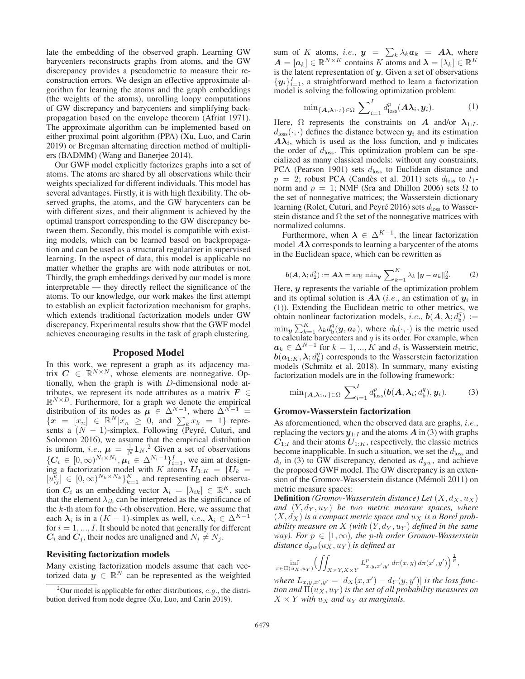late the embedding of the observed graph. Learning GW barycenters reconstructs graphs from atoms, and the GW discrepancy provides a pseudometric to measure their reconstruction errors. We design an effective approximate algorithm for learning the atoms and the graph embeddings (the weights of the atoms), unrolling loopy computations of GW discrepancy and barycenters and simplifying backpropagation based on the envelope theorem (Afriat 1971). The approximate algorithm can be implemented based on either proximal point algorithm (PPA) (Xu, Luo, and Carin 2019) or Bregman alternating direction method of multipliers (BADMM) (Wang and Banerjee 2014).

Our GWF model explicitly factorizes graphs into a set of atoms. The atoms are shared by all observations while their weights specialized for different individuals. This model has several advantages. Firstly, it is with high flexibility. The observed graphs, the atoms, and the GW barycenters can be with different sizes, and their alignment is achieved by the optimal transport corresponding to the GW discrepancy between them. Secondly, this model is compatible with existing models, which can be learned based on backpropagation and can be used as a structural regularizer in supervised learning. In the aspect of data, this model is applicable no matter whether the graphs are with node attributes or not. Thirdly, the graph embeddings derived by our model is more interpretable — they directly reflect the significance of the atoms. To our knowledge, our work makes the first attempt to establish an explicit factorization mechanism for graphs, which extends traditional factorization models under GW discrepancy. Experimental results show that the GWF model achieves encouraging results in the task of graph clustering.

### Proposed Model

In this work, we represent a graph as its adjacency matrix  $C \in \mathbb{R}^{N \times N}$ , whose elements are nonnegative. Optionally, when the graph is with D-dimensional node attributes, we represent its node attributes as a matrix  $F \in$  $\mathbb{R}^{N \times D}$ . Furthermore, for a graph we denote the empirical distribution of its nodes as  $\mu \in \Delta^{N-1}$ , where  $\Delta^{N-1}$  ${x \in [x_n] \in \mathbb{R}^N | x_n \geq 0, \text{ and } \sum_{k=1}^{N} x_k = 1}$  represents a  $(N - 1)$ -simplex. Following (Peyré, Cuturi, and Solomon 2016), we assume that the empirical distribution is uniform, *i.e.*,  $\mu = \frac{1}{N} \mathbf{1}_N$ .<sup>2</sup> Given a set of observations  $\{C_i \in [0, \infty)^{N_i \times N_i}, \mu_i \in \Delta^{N_i-1}\}_{i=1}^I$ , we aim at designing a factorization model with K atoms  $U_{1:K} = \{U_k =$  $[u_{ij}^{\overline{k}}] \in [0, \infty)^{N_k \times N_k}$ <sub> $k=1$ </sub> and representing each observation  $C_i$  as an embedding vector  $\lambda_i = [\lambda_{ik}] \in \mathbb{R}^K$ , such that the element  $\lambda_{ik}$  can be interpreted as the significance of the  $k$ -th atom for the  $i$ -th observation. Here, we assume that each  $\lambda_i$  is in a  $(K - 1)$ -simplex as well, *i.e.*,  $\lambda_i \in \Delta^{K-1}$ for  $i = 1, ..., I$ . It should be noted that generally for different  $C_i$  and  $C_j$ , their nodes are unaligned and  $N_i \neq N_j$ .

### Revisiting factorization models

Many existing factorization models assume that each vectorized data  $y \in \mathbb{R}^N$  can be represented as the weighted

sum of K atoms, *i.e.*,  $y = \sum_{k} \lambda_k a_k = A\lambda$ , where  $A = [\mathbf{a}_k] \in \mathbb{R}^{N \times K}$  contains K atoms and  $\boldsymbol{\lambda} = [\lambda_k] \in \mathbb{R}^K$ is the latent representation of *y*. Given a set of observations  ${y_i}_{i=1}^I$ , a straightforward method to learn a factorization model is solving the following optimization problem:

$$
\min_{\{A,\lambda_{1:I}\}\in\Omega} \sum_{i=1}^{I} d_{\text{loss}}^p(A\lambda_i, y_i). \tag{1}
$$

Here,  $\Omega$  represents the constraints on *A* and/or  $\lambda_{1:I}$ .  $d_{loss}(\cdot, \cdot)$  defines the distance between  $y_i$  and its estimation  $A\lambda_i$ , which is used as the loss function, and p indicates the order of  $d_{loss}$ . This optimization problem can be specialized as many classical models: without any constraints, PCA (Pearson 1901) sets  $d_{loss}$  to Euclidean distance and  $p = 2$ ; robust PCA (Candès et al. 2011) sets  $d_{\text{loss}}$  to  $l_1$ norm and  $p = 1$ ; NMF (Sra and Dhillon 2006) sets  $\Omega$  to the set of nonnegative matrices; the Wasserstein dictionary learning (Rolet, Cuturi, and Peyré 2016) sets  $d_{\text{loss}}$  to Wasserstein distance and  $\Omega$  the set of the nonnegative matrices with normalized columns.

Furthermore, when  $\lambda \in \Delta^{K-1}$ , the linear factorization model  $A\lambda$  corresponds to learning a barycenter of the atoms in the Euclidean space, which can be rewritten as

$$
b(A, \lambda; d_2^2) := A\lambda = \arg\min_{\mathbf{y}} \sum_{k=1}^K \lambda_k ||\mathbf{y} - \mathbf{a}_k||_2^2.
$$
 (2)  
Here, *y* represents the variable of the optimization problem

and its optimal solution is  $A\lambda$  (*i.e.*, an estimation of  $y_i$  in (1)). Extending the Euclidean metric to other metrics, we obtain nonlinear factorization models, *i.e.*,  $\boldsymbol{b}(A, \lambda; d_b^q) :=$  $\min_{\bm{y}} \sum_{k=1}^{K} \lambda_k d_{\rm b}^q(\bm{y},\bm{a}_k)$ , where  $d_{\rm b}(\cdot,\cdot)$  is the metric used to calculate barycenters and  $q$  is its order. For example, when  $a_k \in \Delta^{N-1}$  for  $k = 1, ..., K$  and  $d_b$  is Wasserstein metric,  $\boldsymbol{b}(\boldsymbol{a}_{1:K},\boldsymbol{\lambda};d_{\text{b}}^{q})$  corresponds to the Wasserstein factorization models (Schmitz et al. 2018). In summary, many existing factorization models are in the following framework:

$$
\min_{\{A,\lambda_{1:I}\}\in\Omega} \sum_{i=1}^{I} d_{\text{loss}}^p(b(A,\lambda_i;d_b^q),y_i). \tag{3}
$$

### Gromov-Wasserstein factorization

As aforementioned, when the observed data are graphs, *i.e.*, replacing the vectors  $y_{1:I}$  and the atoms  $\vec{A}$  in (3) with graphs  $C_{1:I}$  and their atoms  $U_{1:K}$ , respectively, the classic metrics become inapplicable. In such a situation, we set the  $d_{\text{loss}}$  and  $d_b$  in (3) to GW discrepancy, denoted as  $d_{aw}$ , and achieve the proposed GWF model. The GW discrepancy is an extension of the Gromov-Wasserstein distance (Mémoli 2011) on metric measure spaces:

**Definition** *(Gromov-Wasserstein distance)* Let  $(X, d_X, u_X)$ and  $(Y, d_Y, u_Y)$  be two metric measure spaces, where  $(X, d_X)$  *is a compact metric space and*  $u_X$  *is a Borel probability measure on* X *(with*  $(Y, d_Y, u_Y)$  *defined in the same way*). For  $p \in [1, \infty)$ , the p-th order Gromov-Wasserstein *distance*  $d_{aw}(u_X, u_Y)$  *is defined as* 

$$
\inf_{\pi \in \Pi(u_X, u_Y)} \left( \iint_{X \times Y, X \times Y} L^p_{x, y, x', y'} d\pi(x, y) d\pi(x', y') \right)^{\frac{1}{p}},
$$

 $\int \text{where } L_{x,y,x',y'} = |d_X(x,x') - d_Y(y,y')|$  is the loss func*tion and*  $\Pi(u_X, u_Y)$  *is the set of all probability measures on*  $X \times Y$  *with*  $u_X$  *and*  $u_Y$  *as marginals.* 

<sup>&</sup>lt;sup>2</sup>Our model is applicable for other distributions,  $e.g.,$  the distribution derived from node degree (Xu, Luo, and Carin 2019).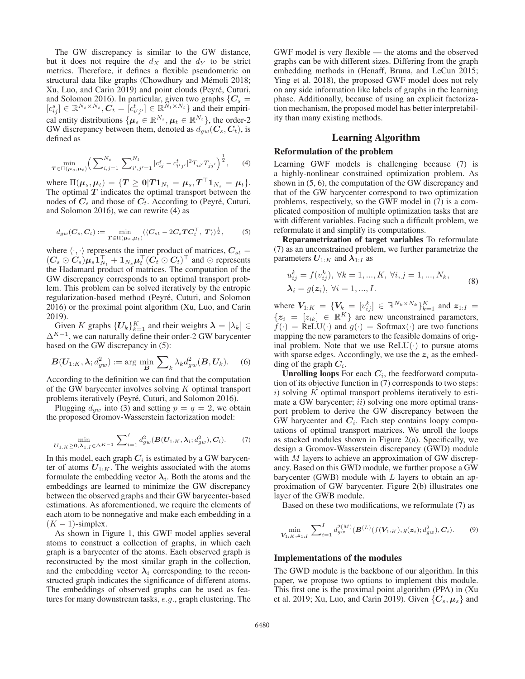The GW discrepancy is similar to the GW distance, but it does not require the  $d_X$  and the  $d_Y$  to be strict metrics. Therefore, it defines a flexible pseudometric on structural data like graphs (Chowdhury and Mémoli 2018; Xu, Luo, and Carin 2019) and point clouds (Peyré, Cuturi, and Solomon 2016). In particular, given two graphs  ${C_s} =$  $[c_{ij}^s] \in \mathbb{R}^{N_s \times N_s}, \n\mathbf{C}_t = [c_{i'j'}^t] \in \mathbb{R}^{N_t \times N_t}$  and their empirical entity distributions  $\{\mu_s \in \mathbb{R}^{N_s}, \mu_t \in \mathbb{R}^{N_t}\}\,$ , the order-2 GW discrepancy between them, denoted as  $d_{qw}(C_s, C_t)$ , is defined as

$$
\min_{\mathbf{T} \in \Pi(\boldsymbol{\mu}_s, \boldsymbol{\mu}_t)} \Big( \sum_{i,j=1}^{N_s} \sum_{i',j'=1}^{N_t} |c_{ij}^s - c_{i'j'}^t|^2 T_{ii'} T_{jj'} \Big)^{\frac{1}{2}}, \qquad (4)
$$

where  $\Pi(\mu_s, \mu_t) = \{T \geq 0 | T \mathbf{1}_{N_t} = \mu_s, T^\top \mathbf{1}_{N_s} = \mu_t \}.$ The optimal  $T$  indicates the optimal transport between the nodes of  $C_s$  and those of  $C_t$ . According to (Peyré, Cuturi, and Solomon 2016), we can rewrite (4) as

$$
d_{gw}(C_s, C_t) := \min_{T \in \Pi(\boldsymbol{\mu}_s, \boldsymbol{\mu}_t)} (\langle C_{st} - 2C_s T C_t^{\top}, T \rangle)^{\frac{1}{2}}, \tag{5}
$$

where  $\langle \cdot, \cdot \rangle$  represents the inner product of matrices,  $C_{st}$  =  $(C_s \odot C_s)\mu_s\mathbf{1}_{N_t}^{\top} + \mathbf{1}_{N_s}\mu_t^{\top}(C_t \odot C_t)^{\top}$  and  $\odot$  represents the Hadamard product of matrices. The computation of the GW discrepancy corresponds to an optimal transport problem. This problem can be solved iteratively by the entropic regularization-based method (Peyré, Cuturi, and Solomon 2016) or the proximal point algorithm (Xu, Luo, and Carin 2019).

Given K graphs  $\{U_k\}_{k=1}^K$  and their weights  $\boldsymbol{\lambda} = [\lambda_k] \in$  $\Delta^{K-1}$ , we can naturally define their order-2 GW barycenter based on the GW discrepancy in (5):

$$
\boldsymbol{B}(U_{1:K},\boldsymbol{\lambda};d_{gw}^2):=\arg\min_{\boldsymbol{B}}\sum_{k}\lambda_{k}d_{gw}^{2}(\boldsymbol{B},\boldsymbol{U}_{k}).\quad (6)
$$

According to the definition we can find that the computation of the GW barycenter involves solving K optimal transport problems iteratively (Peyré, Cuturi, and Solomon 2016).

Plugging  $d_{gw}$  into (3) and setting  $p = q = 2$ , we obtain the proposed Gromov-Wasserstein factorization model:

$$
\min_{U_{1:K}\geq 0,\lambda_{1:I}\in\Delta^{K-1}}\sum_{i=1}^{I}d_{gw}^{2}(B(U_{1:K},\lambda_{i};d_{gw}^{2}),C_{i}).
$$
 (7)

In this model, each graph  $C_i$  is estimated by a GW barycenter of atoms  $U_{1:K}$ . The weights associated with the atoms formulate the embedding vector  $\lambda_i$ . Both the atoms and the embeddings are learned to minimize the GW discrepancy between the observed graphs and their GW barycenter-based estimations. As aforementioned, we require the elements of each atom to be nonnegative and make each embedding in a  $(K - 1)$ -simplex.

As shown in Figure 1, this GWF model applies several atoms to construct a collection of graphs, in which each graph is a barycenter of the atoms. Each observed graph is reconstructed by the most similar graph in the collection, and the embedding vector  $\lambda_i$  corresponding to the reconstructed graph indicates the significance of different atoms. The embeddings of observed graphs can be used as features for many downstream tasks, e.g., graph clustering. The

GWF model is very flexible — the atoms and the observed graphs can be with different sizes. Differing from the graph embedding methods in (Henaff, Bruna, and LeCun 2015; Ying et al. 2018), the proposed GWF model does not rely on any side information like labels of graphs in the learning phase. Additionally, because of using an explicit factorization mechanism, the proposed model has better interpretability than many existing methods.

### Learning Algorithm

### Reformulation of the problem

Learning GWF models is challenging because (7) is a highly-nonlinear constrained optimization problem. As shown in (5, 6), the computation of the GW discrepancy and that of the GW barycenter correspond to two optimization problems, respectively, so the GWF model in (7) is a complicated composition of multiple optimization tasks that are with different variables. Facing such a difficult problem, we reformulate it and simplify its computations.

Reparametrization of target variables To reformulate (7) as an unconstrained problem, we further parametrize the parameters  $U_{1:K}$  and  $\lambda_{1:I}$  as

$$
u_{ij}^k = f(v_{ij}^k), \forall k = 1, ..., K, \forall i, j = 1, ..., N_k,\n\lambda_i = g(z_i), \forall i = 1, ..., I.
$$
\n(8)

where  $V_{1:K} = \{V_k = [v_{ij}^k] \in \mathbb{R}^{N_k \times N_k}\}_{k=1}^K$  and  $z_{1:K} =$  ${z_i = [z_{ik}] \in \mathbb{R}^K}$  are new unconstrained parameters,  $f(\cdot)$  = ReLU( $\cdot$ ) and  $g(\cdot)$  = Softmax( $\cdot$ ) are two functions mapping the new parameters to the feasible domains of original problem. Note that we use  $ReLU(·)$  to pursue atoms with sparse edges. Accordingly, we use the  $z_i$  as the embedding of the graph  $C_i$ .

**Unrolling loops** For each  $C_i$ , the feedforward computation of its objective function in (7) corresponds to two steps:  $i)$  solving K optimal transport problems iteratively to estimate a GW barycenter;  $ii)$  solving one more optimal transport problem to derive the GW discrepancy between the GW barycenter and  $C_i$ . Each step contains loopy computations of optimal transport matrices. We unroll the loops as stacked modules shown in Figure 2(a). Specifically, we design a Gromov-Wasserstein discrepancy (GWD) module with M layers to achieve an approximation of GW discrepancy. Based on this GWD module, we further propose a GW barycenter (GWB) module with  $L$  layers to obtain an approximation of GW barycenter. Figure 2(b) illustrates one layer of the GWB module.

Based on these two modifications, we reformulate (7) as

$$
\min_{\mathbf{V}_{1:K},\mathbf{z}_{1:I}} \sum_{i=1}^{I} d_{gw}^{2(M)}(\mathbf{B}^{(L)}(f(\mathbf{V}_{1:K}), g(\mathbf{z}_i); d_{gw}^2), \mathbf{C}_i). \tag{9}
$$

### Implementations of the modules

The GWD module is the backbone of our algorithm. In this paper, we propose two options to implement this module. This first one is the proximal point algorithm (PPA) in (Xu et al. 2019; Xu, Luo, and Carin 2019). Given  $\{C_s, \mu_s\}$  and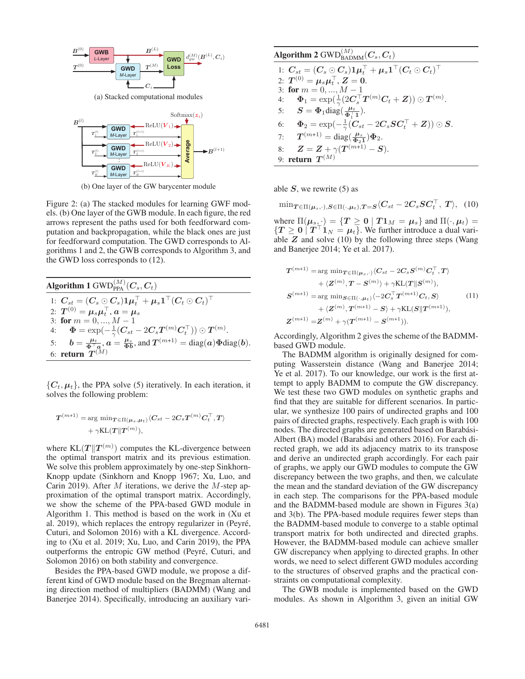

(b) One layer of the GW barycenter module

Figure 2: (a) The stacked modules for learning GWF models. (b) One layer of the GWB module. In each figure, the red arrows represent the paths used for both feedforward computation and backpropagation, while the black ones are just for feedforward computation. The GWD corresponds to Algorithms 1 and 2, the GWB corresponds to Algorithm 3, and the GWD loss corresponds to (12).

Algorithm 1 
$$
\text{GWD}_{\text{PPA}}^{(M)}(C_s, C_t)
$$
  
\n1:  $C_{st} = (C_s \odot C_s)1\mu_t^{\top} + \mu_s 1^{\top} (C_t \odot C_t)^{\top}$   
\n2:  $T^{(0)} = \mu_s \mu_t^{\top}, a = \mu_s$   
\n3: for  $m = 0, ..., M - 1$   
\n4:  $\Phi = \exp(-\frac{1}{\gamma}(C_{st} - 2C_s T^{(m)} C_t^{\top})) \odot T^{(m)}$ .  
\n5:  $b = \frac{\mu_t}{\Phi^{\top} a}, a = \frac{\mu_s}{\Phi b}, \text{and } T^{(m+1)} = \text{diag}(a)\Phi \text{diag}(b)$ .  
\n6: return  $T^{(M)}$ 

 $\{C_t, \mu_t\}$ , the PPA solve (5) iteratively. In each iteration, it solves the following problem:

$$
T^{(m+1)} = \arg \min_{T \in \Pi(\mu_s, \mu_t)} \langle C_{st} - 2C_s T^{(m)} C_t^{\top}, T \rangle
$$
  
+ \gamma KL(T || T<sup>(m)</sup>),

where  $KL(T||T^{(m)})$  computes the KL-divergence between the optimal transport matrix and its previous estimation. We solve this problem approximately by one-step Sinkhorn-Knopp update (Sinkhorn and Knopp 1967; Xu, Luo, and Carin 2019). After  $M$  iterations, we derive the  $M$ -step approximation of the optimal transport matrix. Accordingly, we show the scheme of the PPA-based GWD module in Algorithm 1. This method is based on the work in (Xu et al. 2019), which replaces the entropy regularizer in (Peyré, Cuturi, and Solomon 2016) with a KL divergence. According to (Xu et al. 2019; Xu, Luo, and Carin 2019), the PPA outperforms the entropic GW method (Peyré, Cuturi, and Solomon 2016) on both stability and convergence.

Besides the PPA-based GWD module, we propose a different kind of GWD module based on the Bregman alternating direction method of multipliers (BADMM) (Wang and Banerjee 2014). Specifically, introducing an auxiliary vari-

| Algorithm 2 GWD $_{\rm BADMM}^{(M)}(C_s, C_t)$                                       |
|--------------------------------------------------------------------------------------|
| 1: $C_{st} = (C_s \odot C_s) 1 \mu_t^{\top} + \mu_s 1^{\top} (C_t \odot C_t)^{\top}$ |
| 2: $T^{(0)} = \mu_s \mu_t^{\top}$ , $Z = 0$ .                                        |
| 3: for $m = 0, , M - 1$                                                              |
| 4: $\Phi_1 = \exp(\frac{1}{2}(2C_s^{\top}T^{(m)}C_t + Z)) \odot T^{(m)}$ .           |
| 5: $S = \Phi_1 \text{diag}(\frac{\mu_t}{\Phi_1^T 1}).$                               |
| 6: $\Phi_2 = \exp(-\frac{1}{\gamma}(C_{st} - 2C_s SC_t^{\top} + Z)) \odot S.$        |
| 7: $T^{(m+1)} = \text{diag}(\frac{\mu_s}{\Phi_2 \mathbf{1}}) \Phi_2.$                |
| $Z = Z + \gamma(T^{(m+1)} - S).$<br>8:                                               |
| 9: return $T^{(M)}$                                                                  |

able  $S$ , we rewrite  $(5)$  as

 $\min_{\boldsymbol{T} \in \Pi(\boldsymbol{\mu}_s,\cdot),\boldsymbol{S} \in \Pi(\cdot,\boldsymbol{\mu}_t),\boldsymbol{T}=\boldsymbol{S}}\langle \boldsymbol{C}_{st}-2\boldsymbol{C}_s\boldsymbol{S}\boldsymbol{C}_t^{\top}, \boldsymbol{T} \rangle,$  (10)

where  $\Pi(\mu_s, \cdot) = \{ T \ge 0 \mid T \mathbf{1}_M = \mu_s \}$  and  $\Pi(\cdot, \mu_t) =$  ${T \ge 0 \mid T^{\top}1_N = \mu_t}$ . We further introduce a dual variable *Z* and solve (10) by the following three steps (Wang and Banerjee 2014; Ye et al. 2017).

$$
T^{(m+1)} = \arg \min_{T \in \Pi(\mu_s, \cdot)} \langle C_{st} - 2C_s S^{(m)} C_t^{\top}, T \rangle
$$
  
+  $\langle Z^{(m)}, T - S^{(m)} \rangle + \gamma KL(T || S^{(m)}),$   

$$
S^{(m+1)} = \arg \min_{S \in \Pi(\cdot, \mu_t)} \langle -2C_s^{\top} T^{(m+1)} C_t, S \rangle
$$
  
+  $\langle Z^{(m)}, T^{(m+1)} - S \rangle + \gamma KL(S || T^{(m+1)}),$   

$$
Z^{(m+1)} = Z^{(m)} + \gamma (T^{(m+1)} - S^{(m+1)}).
$$
 (11)

Accordingly, Algorithm 2 gives the scheme of the BADMMbased GWD module.

The BADMM algorithm is originally designed for computing Wasserstein distance (Wang and Banerjee 2014; Ye et al. 2017). To our knowledge, our work is the first attempt to apply BADMM to compute the GW discrepancy. We test these two GWD modules on synthetic graphs and find that they are suitable for different scenarios. In particular, we synthesize 100 pairs of undirected graphs and 100 pairs of directed graphs, respectively. Each graph is with 100 nodes. The directed graphs are generated based on Barabási-Albert (BA) model (Barabási and others 2016). For each directed graph, we add its adjacency matrix to its transpose and derive an undirected graph accordingly. For each pair of graphs, we apply our GWD modules to compute the GW discrepancy between the two graphs, and then, we calculate the mean and the standard deviation of the GW discrepancy in each step. The comparisons for the PPA-based module and the BADMM-based module are shown in Figures 3(a) and 3(b). The PPA-based module requires fewer steps than the BADMM-based module to converge to a stable optimal transport matrix for both undirected and directed graphs. However, the BADMM-based module can achieve smaller GW discrepancy when applying to directed graphs. In other words, we need to select different GWD modules according to the structures of observed graphs and the practical constraints on computational complexity.

The GWB module is implemented based on the GWD modules. As shown in Algorithm 3, given an initial GW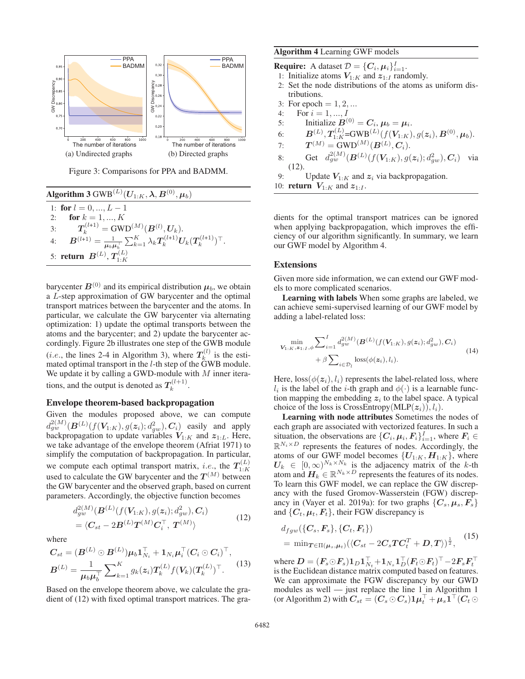

Figure 3: Comparisons for PPA and BADMM.

| Algorithm 3 GWB $^{(L)}(\boldsymbol{U}_{1:K},\boldsymbol{\lambda},\boldsymbol{B}^{(0)},\boldsymbol{\mu}_b)$                                             |
|---------------------------------------------------------------------------------------------------------------------------------------------------------|
| 1: for $l = 0, , L - 1$                                                                                                                                 |
| 2: <b>for</b> $k = 1, , K$                                                                                                                              |
| 3: $T_k^{(l+1)} = \text{GWD}^{(M)}(B^{(l)}, U_k).$                                                                                                      |
| 4: $\boldsymbol{B}^{(l+1)} = \frac{1}{\mu_b \mu_b^+} \sum_{k=1}^K \lambda_k \boldsymbol{T}_k^{(l+1)} \boldsymbol{U}_k (\boldsymbol{T}_k^{(l+1)})^\top.$ |
| 5: <b>return</b> $B^{(L)}$ , $T_{1:K}^{(L)}$                                                                                                            |

barycenter  $B^{(0)}$  and its empirical distribution  $\mu_b$ , we obtain a L-step approximation of GW barycenter and the optimal transport matrices between the barycenter and the atoms. In particular, we calculate the GW barycenter via alternating optimization: 1) update the optimal transports between the atoms and the barycenter; and 2) update the barycenter accordingly. Figure 2b illustrates one step of the GWB module (*i.e.*, the lines 2-4 in Algorithm 3), where  $T_k^{(l)}$  is the estimated optimal transport in the  $l$ -th step of the  $\ddot{\text{G}}$ WB module. We update it by calling a GWD-module with  $M$  inner iterations, and the output is denoted as  $T_k^{(l+1)}$ .

### Envelope theorem-based backpropagation

Given the modules proposed above, we can compute  $d_{gw}^{2(M)}(\bm{B}^{(L)}(f(\bm{V}_{1:K}),g(\bm{z}_i);d_{gw}^2),\bm{C}_i)$  easily and apply backpropagation to update variables  $V_{1:K}$  and  $z_{1:L}$ . Here, we take advantage of the envelope theorem (Afriat 1971) to simplify the computation of backpropagation. In particular, we compute each optimal transport matrix, *i.e.*, the  $T_{1:K}^{(L)}$  used to calculate the GW barycenter and the  $T^{(M)}$  between the GW barycenter and the observed graph, based on current parameters. Accordingly, the objective function becomes

$$
d_{gw}^{2(M)}(\mathbf{B}^{(L)}(f(\mathbf{V}_{1:K}), g(\mathbf{z}_i); d_{gw}^2), \mathbf{C}_i)
$$
  
=  $\langle \mathbf{C}_{st} - 2\mathbf{B}^{(L)} \mathbf{T}^{(M)} \mathbf{C}_i^{\top}, \mathbf{T}^{(M)} \rangle$  (12)

where

$$
C_{st} = (B^{(L)} \odot B^{(L)}) \mu_b \mathbf{1}_{N_i}^\top + \mathbf{1}_{N_i} \mu_i^\top (C_i \odot C_i)^\top,
$$
  

$$
B^{(L)} = \frac{1}{\mu_b \mu_b^\top} \sum_{k=1}^K g_k(z_i) T_k^{(L)} f(V_k) (T_k^{(L)})^\top.
$$
 (13)

Based on the envelope theorem above, we calculate the gradient of (12) with fixed optimal transport matrices. The gra-

### Algorithm 4 Learning GWF models

**Require:** A dataset  $\mathcal{D} = \{C_i, \mu_i\}_{i=1}^I$ .

- 1: Initialize atoms  $V_{1:K}$  and  $z_{1:I}$  randomly.
- 2: Set the node distributions of the atoms as uniform distributions.
- 3: For epoch  $= 1, 2, ...$
- 4: For  $i = 1, ..., I$
- 5: Initialize  $B^{(0)} = C_i$ ,  $\mu_b = \mu_i$ .
- 6:  $B^{(L)}, T_{1:K}^{(L)} = \text{GWB}^{(L)}(f(V_{1:K}), g(\boldsymbol{z}_i), B^{(0)}, \boldsymbol{\mu}_b).$
- $T^{(M)} = \mathrm{GWD}^{(M)}(\boldsymbol{B}^{(L)},\boldsymbol{C}_i).$
- 8: Get  $d_{gw}^{2(M)}(\mathbf{B}^{(L)}(f(\mathbf{V}_{1:K}), g(\boldsymbol{z}_i); d_{gw}^2), \mathbf{C}_i)$  via (12).
- 9: Update  $V_{1:K}$  and  $z_i$  via backpropagation. 10: **return**  $V_{1:K}$  and  $z_{1:I}$ .

dients for the optimal transport matrices can be ignored when applying backpropagation, which improves the efficiency of our algorithm significantly. In summary, we learn our GWF model by Algorithm 4.

### Extensions

Given more side information, we can extend our GWF models to more complicated scenarios.

Learning with labels When some graphs are labeled, we can achieve semi-supervised learning of our GWF model by adding a label-related loss:

$$
\min_{\mathbf{V}_{1:K},\mathbf{z}_{1:I},\phi} \sum_{i=1}^{I} d_{g w}^{2(M)}(\mathbf{B}^{(L)}(f(\mathbf{V}_{1:K}),g(\mathbf{z}_{i});d_{g w}^{2}),\mathbf{C}_{i}) + \beta \sum_{i \in \mathcal{D}_{l}} \text{loss}(\phi(\mathbf{z}_{i}),l_{i}).
$$
\n(14)

Here,  $\cos(\phi(z_i), l_i)$  represents the label-related loss, where  $l_i$  is the label of the *i*-th graph and  $\phi(\cdot)$  is a learnable function mapping the embedding  $z_i$  to the label space. A typical choice of the loss is CrossEntropy(MLP $(z_i)$ ),  $l_i$ ).

Learning with node attributes Sometimes the nodes of each graph are associated with vectorized features. In such a situation, the observations are  $\{C_i, \mu_i, F_i\}_{i=1}^I$ , where  $F_i \in$  $\mathbb{R}^{N_i \times D}$  represents the features of nodes. Accordingly, the atoms of our GWF model becomes  $\{U_{1:K}, H_{1:K}\}$ , where  $U_k \in [0,\infty)^{N_k \times N_k}$  is the adjacency matrix of the k-th atom and  $H_k \in \mathbb{R}^{N_k \times D}$  represents the features of its nodes. To learn this GWF model, we can replace the GW discrepancy with the fused Gromov-Wasserstein (FGW) discrepancy in (Vayer et al. 2019a): for two graphs  $\{C_s, \mu_s, F_s\}$ and  $\{C_t, \mu_t, F_t\}$ , their FGW discrepancy is

$$
d_{fgw}(\lbrace C_s, F_s \rbrace, \lbrace C_t, F_t \rbrace)
$$
  
= 
$$
\min_{T \in \Pi(\mu_s, \mu_t)} (\langle C_{st} - 2C_sTC_t^T + D, T \rangle)^{\frac{1}{2}},
$$
 (15)

 $\mathbf{W} = (\mathbf{F}_s \odot \mathbf{F}_s) \mathbf{1}_D \mathbf{1}_{N_t}^\top + \mathbf{1}_{N_s} \mathbf{1}_D^\top (\mathbf{F}_t \odot \mathbf{F}_t)^\top - 2 \mathbf{F}_s \mathbf{F}_t^\top$ is the Euclidean distance matrix computed based on features. We can approximate the FGW discrepancy by our GWD modules as well — just replace the line 1 in Algorithm 1  $(\text{or Algorithm 2})$  with  $C_{st} = (C_s \odot C_s) \mathbf{1} \boldsymbol{\mu}_t^{\top} + \boldsymbol{\mu}_s \mathbf{1}^{\top} (C_t \odot$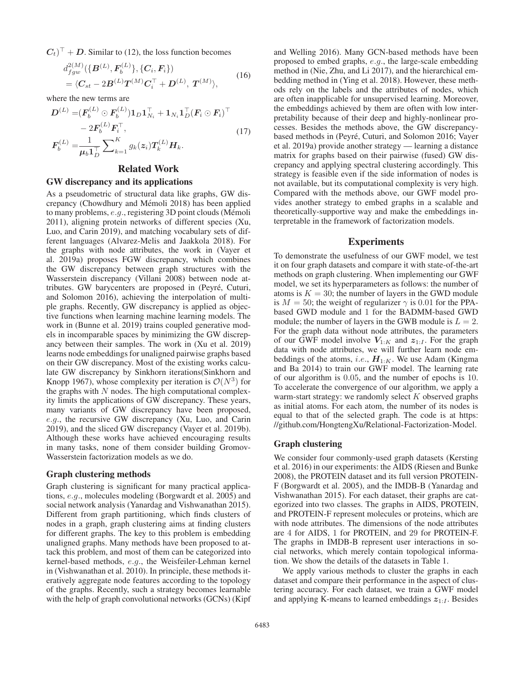$(C_t)^\top$  + *D*. Similar to (12), the loss function becomes

$$
d_{fgw}^{2(M)}(\{\boldsymbol{B}^{(L)}, \boldsymbol{F}_b^{(L)}\}, \{\boldsymbol{C}_i, \boldsymbol{F}_i\})
$$
  
=  $\langle \boldsymbol{C}_{st} - 2\boldsymbol{B}^{(L)}\boldsymbol{T}^{(M)}\boldsymbol{C}_i^{\top} + \boldsymbol{D}^{(L)}, \boldsymbol{T}^{(M)}\rangle,$  (16)

where the new terms are

$$
D^{(L)} = (F_b^{(L)} \odot F_b^{(L)}) \mathbf{1}_D \mathbf{1}_{N_i}^\top + \mathbf{1}_{N_i} \mathbf{1}_D^\top (F_i \odot F_i)^\top - 2F_b^{(L)} F_i^\top, F_b^{(L)} = \frac{1}{\mu_b \mathbf{1}_D^\top} \sum_{k=1}^K g_k(z_i) T_k^{(L)} H_k.
$$
 (17)

### Related Work

### GW discrepancy and its applications

As a pseudometric of structural data like graphs, GW discrepancy (Chowdhury and Mémoli 2018) has been applied to many problems,  $e.g.,$  registering 3D point clouds (Mémoli 2011), aligning protein networks of different species (Xu, Luo, and Carin 2019), and matching vocabulary sets of different languages (Alvarez-Melis and Jaakkola 2018). For the graphs with node attributes, the work in (Vayer et al. 2019a) proposes FGW discrepancy, which combines the GW discrepancy between graph structures with the Wasserstein discrepancy (Villani 2008) between node attributes. GW barycenters are proposed in (Peyré, Cuturi, and Solomon 2016), achieving the interpolation of multiple graphs. Recently, GW discrepancy is applied as objective functions when learning machine learning models. The work in (Bunne et al. 2019) trains coupled generative models in incomparable spaces by minimizing the GW discrepancy between their samples. The work in (Xu et al. 2019) learns node embeddings for unaligned pairwise graphs based on their GW discrepancy. Most of the existing works calculate GW discrepancy by Sinkhorn iterations(Sinkhorn and Knopp 1967), whose complexity per iteration is  $\mathcal{O}(N^3)$  for the graphs with  $N$  nodes. The high computational complexity limits the applications of GW discrepancy. These years, many variants of GW discrepancy have been proposed, e.g., the recursive GW discrepancy (Xu, Luo, and Carin 2019), and the sliced GW discrepancy (Vayer et al. 2019b). Although these works have achieved encouraging results in many tasks, none of them consider building Gromov-Wasserstein factorization models as we do.

### Graph clustering methods

Graph clustering is significant for many practical applications, e.g., molecules modeling (Borgwardt et al. 2005) and social network analysis (Yanardag and Vishwanathan 2015). Different from graph partitioning, which finds clusters of nodes in a graph, graph clustering aims at finding clusters for different graphs. The key to this problem is embedding unaligned graphs. Many methods have been proposed to attack this problem, and most of them can be categorized into kernel-based methods, e.g., the Weisfeiler-Lehman kernel in (Vishwanathan et al. 2010). In principle, these methods iteratively aggregate node features according to the topology of the graphs. Recently, such a strategy becomes learnable with the help of graph convolutional networks (GCNs) (Kipf and Welling 2016). Many GCN-based methods have been proposed to embed graphs, e.g., the large-scale embedding method in (Nie, Zhu, and Li 2017), and the hierarchical embedding method in (Ying et al. 2018). However, these methods rely on the labels and the attributes of nodes, which are often inapplicable for unsupervised learning. Moreover, the embeddings achieved by them are often with low interpretability because of their deep and highly-nonlinear processes. Besides the methods above, the GW discrepancybased methods in (Peyré, Cuturi, and Solomon 2016; Vayer et al. 2019a) provide another strategy — learning a distance matrix for graphs based on their pairwise (fused) GW discrepancy and applying spectral clustering accordingly. This strategy is feasible even if the side information of nodes is not available, but its computational complexity is very high. Compared with the methods above, our GWF model provides another strategy to embed graphs in a scalable and theoretically-supportive way and make the embeddings interpretable in the framework of factorization models.

### Experiments

To demonstrate the usefulness of our GWF model, we test it on four graph datasets and compare it with state-of-the-art methods on graph clustering. When implementing our GWF model, we set its hyperparameters as follows: the number of atoms is  $K = 30$ ; the number of layers in the GWD module is  $M = 50$ ; the weight of regularizer  $\gamma$  is 0.01 for the PPAbased GWD module and 1 for the BADMM-based GWD module; the number of layers in the GWB module is  $L = 2$ . For the graph data without node attributes, the parameters of our GWF model involve  $V_{1:K}$  and  $z_{1:I}$ . For the graph data with node attributes, we will further learn node embeddings of the atoms, *i.e.*,  $H_{1:K}$ . We use Adam (Kingma and Ba 2014) to train our GWF model. The learning rate of our algorithm is 0.05, and the number of epochs is 10. To accelerate the convergence of our algorithm, we apply a warm-start strategy: we randomly select  $K$  observed graphs as initial atoms. For each atom, the number of its nodes is equal to that of the selected graph. The code is at https: //github.com/HongtengXu/Relational-Factorization-Model.

### Graph clustering

We consider four commonly-used graph datasets (Kersting et al. 2016) in our experiments: the AIDS (Riesen and Bunke 2008), the PROTEIN dataset and its full version PROTEIN-F (Borgwardt et al. 2005), and the IMDB-B (Yanardag and Vishwanathan 2015). For each dataset, their graphs are categorized into two classes. The graphs in AIDS, PROTEIN, and PROTEIN-F represent molecules or proteins, which are with node attributes. The dimensions of the node attributes are 4 for AIDS, 1 for PROTEIN, and 29 for PROTEIN-F. The graphs in IMDB-B represent user interactions in social networks, which merely contain topological information. We show the details of the datasets in Table 1.

We apply various methods to cluster the graphs in each dataset and compare their performance in the aspect of clustering accuracy. For each dataset, we train a GWF model and applying K-means to learned embeddings  $z_{1:I}$ . Besides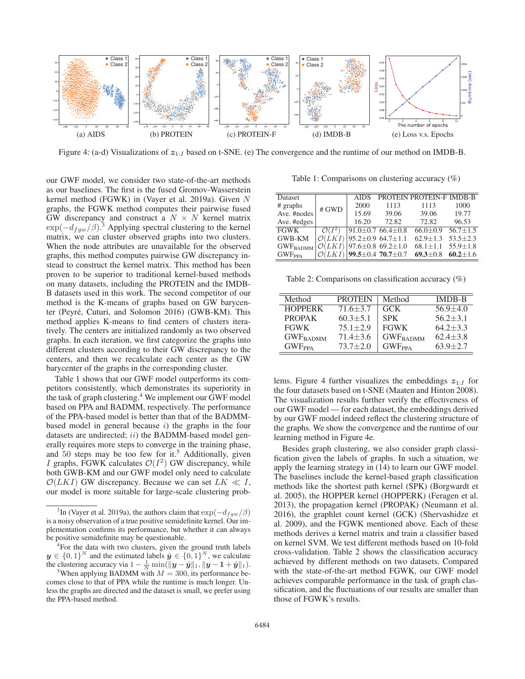

Figure 4: (a-d) Visualizations of  $z_{1:I}$  based on t-SNE. (e) The convergence and the runtime of our method on IMDB-B.

our GWF model, we consider two state-of-the-art methods as our baselines. The first is the fused Gromov-Wasserstein kernel method (FGWK) in (Vayer et al. 2019a). Given N graphs, the FGWK method computes their pairwise fused GW discrepancy and construct a  $N \times N$  kernel matrix  $\exp(-d_{fgw}/\beta)^3$  Applying spectral clustering to the kernel matrix, we can cluster observed graphs into two clusters. When the node attributes are unavailable for the observed graphs, this method computes pairwise GW discrepancy instead to construct the kernel matrix. This method has been proven to be superior to traditional kernel-based methods on many datasets, including the PROTEIN and the IMDB-B datasets used in this work. The second competitor of our method is the K-means of graphs based on GW barycenter (Peyré, Cuturi, and Solomon 2016) (GWB-KM). This method applies K-means to find centers of clusters iteratively. The centers are initialized randomly as two observed graphs. In each iteration, we first categorize the graphs into different clusters according to their GW discrepancy to the centers, and then we recalculate each center as the GW barycenter of the graphs in the corresponding cluster.

Table 1 shows that our GWF model outperforms its competitors consistently, which demonstrates its superiority in the task of graph clustering.4 We implement our GWF model based on PPA and BADMM, respectively. The performance of the PPA-based model is better than that of the BADMMbased model in general because  $i$ ) the graphs in the four datasets are undirected; ii) the BADMM-based model generally requires more steps to converge in the training phase, and  $50$  steps may be too few for it.<sup>5</sup> Additionally, given I graphs, FGWK calculates  $\mathcal{O}(I^2)$  GW discrepancy, while both GWB-KM and our GWF model only need to calculate  $\mathcal{O}(LKI)$  GW discrepancy. Because we can set  $LK \ll I$ , our model is more suitable for large-scale clustering prob-

<sup>4</sup>For the data with two clusters, given the ground truth labels  $y \in \{0, 1\}^N$  and the estimated labels  $\hat{y} \in \{0, 1\}^N$ , we calculate the clustering accuracy via  $1 - \frac{1}{N} \min(\|\mathbf{y} - \hat{\mathbf{y}}\|_1, \|\mathbf{y} - \mathbf{1} + \hat{\mathbf{y}}\|_1).$ <sup>5</sup>When applying BADMM with  $M = 300$  its performance be-

Table 1: Comparisons on clustering accuracy (%)

| Dataset                     | # GWD              | <b>AIDS</b>                           |                                      | PROTEIN PROTEIN-F IMDB-B                 |                |
|-----------------------------|--------------------|---------------------------------------|--------------------------------------|------------------------------------------|----------------|
| $#$ graphs                  |                    | 2000                                  | 1113                                 | 1113                                     | 1000           |
| Ave. #nodes                 |                    | 15.69                                 | 39.06                                | 39.06                                    | 19.77          |
| Ave. #edges                 |                    | 16.20                                 | 72.82                                | 72.82                                    | 96.53          |
| <b>FGWK</b>                 | $\mathcal{O}(I^2)$ | $91.0 \pm 0.7$ 66.4 $\pm 0.8$         |                                      | $66.0 \pm 0.9$ $\overline{56.7 \pm 1.5}$ |                |
| <b>GWB-KM</b>               |                    | $\mathcal{O}(LKI)$ 95.2±0.9 64.7±1.1  |                                      | $62.9 \pm 1.3$                           | $53.5 \pm 2.3$ |
| GWF <sub>BADMM</sub>        |                    | $\mathcal{O}(LKI)$  97.6±0.8 69.2±1.0 |                                      | $68.1 \pm 1.1$ $55.9 \pm 1.8$            |                |
| $\mathrm{GWF}_\mathrm{PPA}$ |                    |                                       | $\mathcal{O}(LKI)$ 99.5±0.4 70.7±0.7 | $69.3 \pm 0.8$ $60.2 \pm 1.6$            |                |

Table 2: Comparisons on classification accuracy (%)

| Method                    | <b>PROTEIN</b> | Method                   | <b>IMDB-B</b>  |
|---------------------------|----------------|--------------------------|----------------|
| <b>HOPPERK</b>            | $71.6 \pm 3.7$ | GCK.                     | $56.9 + 4.0$   |
| <b>PROPAK</b>             | $60.3 + 5.1$   | <b>SPK</b>               | $56.2 + 3.1$   |
| <b>FGWK</b>               | $75.1 + 2.9$   | <b>FGWK</b>              | $64.2 \pm 3.3$ |
| <b>GWFBADMM</b>           | $71.4 \pm 3.6$ | <b>GWF</b> BADMM         | $62.4 + 3.8$   |
| <b>GWF</b> <sub>PPA</sub> | $73.7 \pm 2.0$ | <b>GWF<sub>PPA</sub></b> | $63.9 + 2.7$   |

lems. Figure 4 further visualizes the embeddings  $z_{1:I}$  for the four datasets based on t-SNE (Maaten and Hinton 2008). The visualization results further verify the effectiveness of our GWF model — for each dataset, the embeddings derived by our GWF model indeed reflect the clustering structure of the graphs. We show the convergence and the runtime of our learning method in Figure 4e.

Besides graph clustering, we also consider graph classification given the labels of graphs. In such a situation, we apply the learning strategy in (14) to learn our GWF model. The baselines include the kernel-based graph classification methods like the shortest path kernel (SPK) (Borgwardt et al. 2005), the HOPPER kernel (HOPPERK) (Feragen et al. 2013), the propagation kernel (PROPAK) (Neumann et al. 2016), the graphlet count kernel (GCK) (Shervashidze et al. 2009), and the FGWK mentioned above. Each of these methods derives a kernel matrix and train a classifier based on kernel SVM. We test different methods based on 10-fold cross-validation. Table 2 shows the classification accuracy achieved by different methods on two datasets. Compared with the state-of-the-art method FGWK, our GWF model achieves comparable performance in the task of graph classification, and the fluctuations of our results are smaller than those of FGWK's results.

<sup>&</sup>lt;sup>3</sup>In (Vayer et al. 2019a), the authors claim that  $\exp(-d_{fgw}/\beta)$ <br>point observation of a true positive comidatinity learnal Our im is a noisy observation of a true positive semidefinite kernel. Our implementation confirms its performance, but whether it can always be positive semidefinite may be questionable.

<sup>&</sup>lt;sup>5</sup>When applying BADMM with  $M = 300$ , its performance becomes close to that of PPA while the runtime is much longer. Unless the graphs are directed and the dataset is small, we prefer using the PPA-based method.